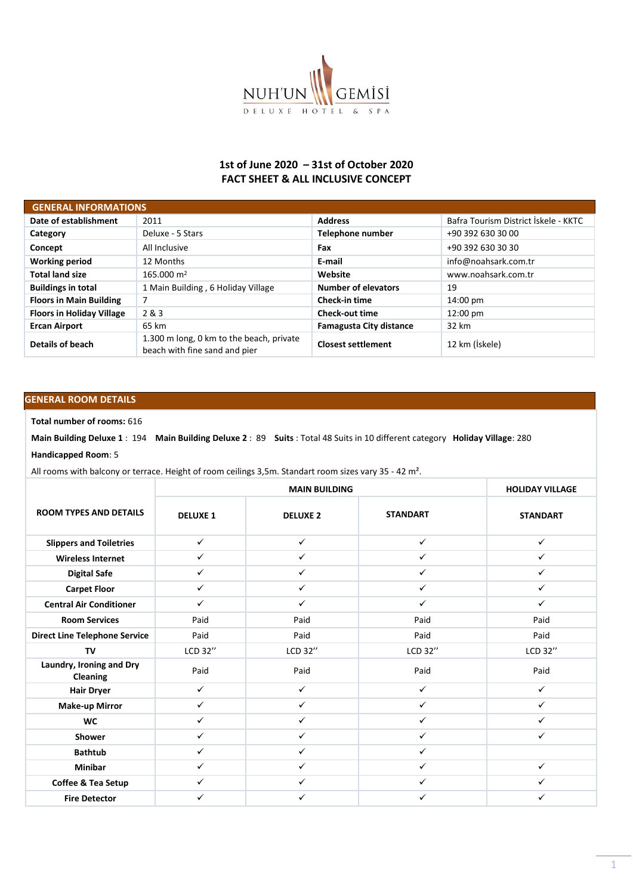

## **1st of June 2020 – 31st of October 2020 FACT SHEET & ALL INCLUSIVE CONCEPT**

| <b>GENERAL INFORMATIONS</b>      |                                                                           |                                |                                      |
|----------------------------------|---------------------------------------------------------------------------|--------------------------------|--------------------------------------|
| Date of establishment            | 2011                                                                      | <b>Address</b>                 | Bafra Tourism District İskele - KKTC |
| Category                         | Deluxe - 5 Stars                                                          | Telephone number               | +90 392 630 30 00                    |
| Concept                          | All Inclusive                                                             | Fax                            | +90 392 630 30 30                    |
| <b>Working period</b>            | 12 Months                                                                 | E-mail                         | info@noahsark.com.tr                 |
| <b>Total land size</b>           | 165.000 m <sup>2</sup>                                                    | Website                        | www.noahsark.com.tr                  |
| <b>Buildings in total</b>        | 1 Main Building, 6 Holiday Village                                        | <b>Number of elevators</b>     | 19                                   |
| <b>Floors in Main Building</b>   | 7                                                                         | Check-in time                  | $14:00 \text{ pm}$                   |
| <b>Floors in Holiday Village</b> | 2 & 3                                                                     | <b>Check-out time</b>          | $12:00 \text{ pm}$                   |
| <b>Ercan Airport</b>             | 65 km                                                                     | <b>Famagusta City distance</b> | 32 km                                |
| Details of beach                 | 1.300 m long, 0 km to the beach, private<br>beach with fine sand and pier | <b>Closest settlement</b>      | 12 km (İskele)                       |

## **GENERAL ROOM DETAILS**

**Total number of rooms:** 616

**Main Building Deluxe 1** : 194 **Main Building Deluxe 2** : 89 **Suits** : Total 48 Suits in 10 different category **Holiday Village**: 280

## **Handicapped Room**: 5

All rooms with balcony or terrace. Height of room ceilings 3,5m. Standart room sizes vary 35 - 42 m².

|                                             |                 | <b>MAIN BUILDING</b> |                 | <b>HOLIDAY VILLAGE</b> |
|---------------------------------------------|-----------------|----------------------|-----------------|------------------------|
| <b>ROOM TYPES AND DETAILS</b>               | <b>DELUXE 1</b> | <b>DELUXE 2</b>      | <b>STANDART</b> | <b>STANDART</b>        |
| <b>Slippers and Toiletries</b>              | $\checkmark$    | $\checkmark$         | $\checkmark$    | ✓                      |
| <b>Wireless Internet</b>                    | $\checkmark$    | $\checkmark$         | $\checkmark$    | $\checkmark$           |
| <b>Digital Safe</b>                         | $\checkmark$    | $\checkmark$         | ✓               | ✓                      |
| <b>Carpet Floor</b>                         | $\checkmark$    | $\checkmark$         | $\checkmark$    | $\checkmark$           |
| <b>Central Air Conditioner</b>              | $\checkmark$    | ✓                    | $\checkmark$    | $\checkmark$           |
| <b>Room Services</b>                        | Paid            | Paid                 | Paid            | Paid                   |
| <b>Direct Line Telephone Service</b>        | Paid            | Paid                 | Paid            | Paid                   |
| TV                                          | LCD 32"         | LCD 32"              | LCD 32"         | LCD 32"                |
| Laundry, Ironing and Dry<br><b>Cleaning</b> | Paid            | Paid                 | Paid            | Paid                   |
| <b>Hair Dryer</b>                           | $\checkmark$    | $\checkmark$         | $\checkmark$    | $\checkmark$           |
| <b>Make-up Mirror</b>                       | $\checkmark$    | $\checkmark$         | $\checkmark$    | $\checkmark$           |
| <b>WC</b>                                   | $\checkmark$    | $\checkmark$         | $\checkmark$    | $\checkmark$           |
| Shower                                      | $\checkmark$    | $\checkmark$         | $\checkmark$    | $\checkmark$           |
| <b>Bathtub</b>                              | $\checkmark$    | $\checkmark$         | $\checkmark$    |                        |
| <b>Minibar</b>                              | $\checkmark$    | $\checkmark$         | $\checkmark$    | $\checkmark$           |
| Coffee & Tea Setup                          | $\checkmark$    | $\checkmark$         | $\checkmark$    | ✓                      |
| <b>Fire Detector</b>                        | ✓               | ✓                    | ✓               | ✓                      |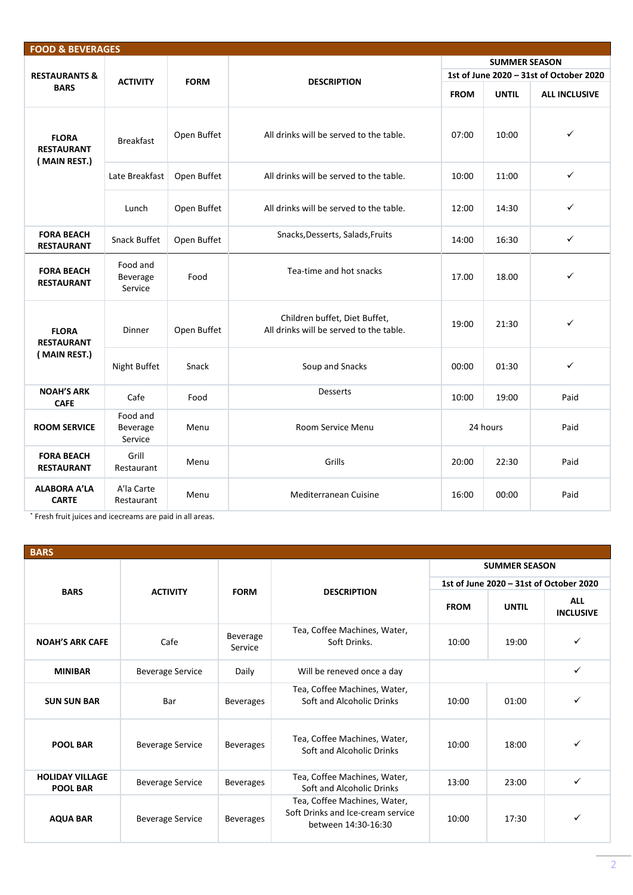| <b>FOOD &amp; BEVERAGES</b>                       |                                 |             |                                                                          |                                                                                                                                                                                                                                                                                                  |                      |              |
|---------------------------------------------------|---------------------------------|-------------|--------------------------------------------------------------------------|--------------------------------------------------------------------------------------------------------------------------------------------------------------------------------------------------------------------------------------------------------------------------------------------------|----------------------|--------------|
|                                                   |                                 |             |                                                                          |                                                                                                                                                                                                                                                                                                  | <b>SUMMER SEASON</b> |              |
| <b>RESTAURANTS &amp;</b>                          | <b>ACTIVITY</b>                 | <b>FORM</b> |                                                                          |                                                                                                                                                                                                                                                                                                  |                      |              |
| <b>BARS</b>                                       |                                 |             |                                                                          | 1st of June 2020 - 31st of October 2020<br><b>DESCRIPTION</b><br><b>FROM</b><br><b>UNTIL</b><br>07:00<br>10:00<br>10:00<br>11:00<br>12:00<br>14:30<br>16:30<br>14:00<br>17.00<br>18.00<br>19:00<br>21:30<br>00:00<br>01:30<br>Desserts<br>10:00<br>19:00<br>24 hours<br>Grills<br>22:30<br>20:00 | <b>ALL INCLUSIVE</b> |              |
| <b>FLORA</b><br><b>RESTAURANT</b><br>(MAIN REST.) | <b>Breakfast</b>                | Open Buffet | All drinks will be served to the table.                                  |                                                                                                                                                                                                                                                                                                  |                      | $\checkmark$ |
|                                                   | Late Breakfast                  | Open Buffet | All drinks will be served to the table.                                  |                                                                                                                                                                                                                                                                                                  |                      | $\checkmark$ |
|                                                   | Lunch                           | Open Buffet | All drinks will be served to the table.                                  |                                                                                                                                                                                                                                                                                                  |                      | $\checkmark$ |
| <b>FORA BEACH</b><br><b>RESTAURANT</b>            | Snack Buffet                    | Open Buffet | Snacks, Desserts, Salads, Fruits                                         |                                                                                                                                                                                                                                                                                                  |                      | $\checkmark$ |
| <b>FORA BEACH</b><br><b>RESTAURANT</b>            | Food and<br>Beverage<br>Service | Food        | Tea-time and hot snacks                                                  |                                                                                                                                                                                                                                                                                                  |                      | ✓            |
| <b>FLORA</b><br><b>RESTAURANT</b>                 | <b>Dinner</b>                   | Open Buffet | Children buffet, Diet Buffet,<br>All drinks will be served to the table. |                                                                                                                                                                                                                                                                                                  |                      | $\checkmark$ |
| (MAIN REST.)                                      | Night Buffet                    | Snack       | Soup and Snacks                                                          |                                                                                                                                                                                                                                                                                                  |                      | $\checkmark$ |
| <b>NOAH'S ARK</b><br><b>CAFE</b>                  | Cafe                            | Food        |                                                                          |                                                                                                                                                                                                                                                                                                  |                      | Paid         |
| <b>ROOM SERVICE</b>                               | Food and<br>Beverage<br>Service | Menu        | Room Service Menu                                                        |                                                                                                                                                                                                                                                                                                  |                      | Paid         |
| <b>FORA BEACH</b><br><b>RESTAURANT</b>            | Grill<br>Restaurant             | Menu        |                                                                          |                                                                                                                                                                                                                                                                                                  |                      | Paid         |
| <b>ALABORA A'LA</b><br><b>CARTE</b>               | A'la Carte<br>Restaurant        | Menu        | Mediterranean Cuisine                                                    | 16:00                                                                                                                                                                                                                                                                                            | 00:00                | Paid         |

˟ Fresh fruit juices and icecreams are paid in all areas.

| <b>BARS</b>                               |                         |                     |                                                                                          |                                         |                      |                                |  |
|-------------------------------------------|-------------------------|---------------------|------------------------------------------------------------------------------------------|-----------------------------------------|----------------------|--------------------------------|--|
|                                           |                         |                     |                                                                                          |                                         | <b>SUMMER SEASON</b> |                                |  |
|                                           |                         |                     |                                                                                          | 1st of June 2020 - 31st of October 2020 |                      |                                |  |
| <b>BARS</b>                               | <b>ACTIVITY</b>         | <b>FORM</b>         | <b>DESCRIPTION</b>                                                                       | <b>FROM</b>                             | <b>UNTIL</b>         | <b>ALL</b><br><b>INCLUSIVE</b> |  |
| <b>NOAH'S ARK CAFE</b>                    | Cafe                    | Beverage<br>Service | Tea, Coffee Machines, Water,<br>Soft Drinks.                                             | 10:00                                   | 19:00                | ✓                              |  |
| <b>MINIBAR</b>                            | <b>Beverage Service</b> | Daily               | Will be reneved once a day                                                               |                                         |                      | ✓                              |  |
| <b>SUN SUN BAR</b>                        | Bar                     | <b>Beverages</b>    | Tea, Coffee Machines, Water,<br>Soft and Alcoholic Drinks                                | 10:00                                   | 01:00                | ✓                              |  |
| <b>POOL BAR</b>                           | <b>Beverage Service</b> | <b>Beverages</b>    | Tea, Coffee Machines, Water,<br>Soft and Alcoholic Drinks                                | 10:00                                   | 18:00                | ✓                              |  |
| <b>HOLIDAY VILLAGE</b><br><b>POOL BAR</b> | <b>Beverage Service</b> | <b>Beverages</b>    | Tea, Coffee Machines, Water,<br>Soft and Alcoholic Drinks                                | 13:00                                   | 23:00                | ✓                              |  |
| <b>AQUA BAR</b>                           | <b>Beverage Service</b> | <b>Beverages</b>    | Tea, Coffee Machines, Water,<br>Soft Drinks and Ice-cream service<br>between 14:30-16:30 | 10:00                                   | 17:30                | ✓                              |  |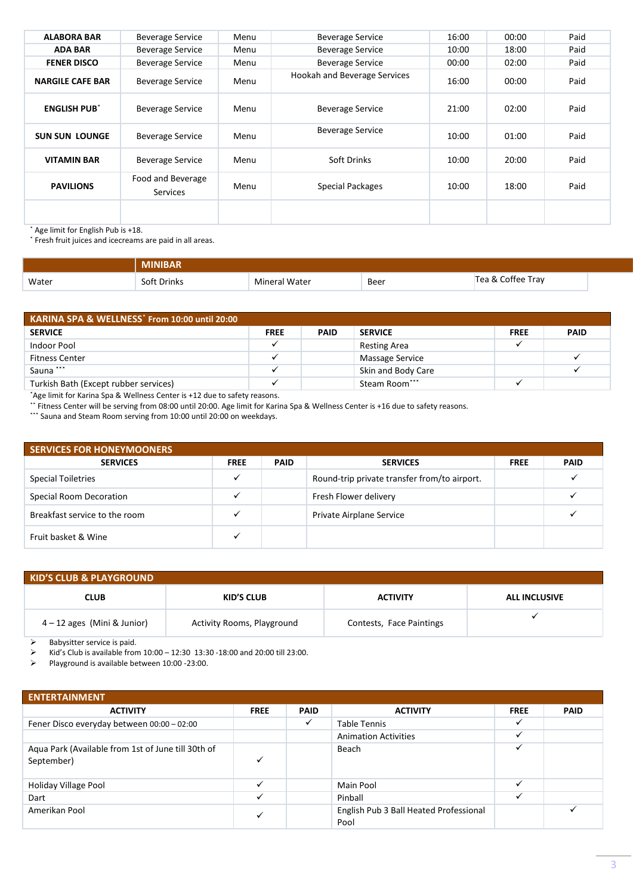| <b>ALABORA BAR</b>             | <b>Beverage Service</b>              | Menu | <b>Beverage Service</b>      | 16:00 | 00:00 | Paid |
|--------------------------------|--------------------------------------|------|------------------------------|-------|-------|------|
| <b>ADA BAR</b>                 | <b>Beverage Service</b>              | Menu | <b>Beverage Service</b>      | 10:00 | 18:00 | Paid |
| <b>FENER DISCO</b>             | <b>Beverage Service</b>              | Menu | <b>Beverage Service</b>      | 00:00 | 02:00 | Paid |
| <b>NARGILE CAFE BAR</b>        | <b>Beverage Service</b>              | Menu | Hookah and Beverage Services | 16:00 | 00:00 | Paid |
| <b>ENGLISH PUB<sup>*</sup></b> | <b>Beverage Service</b>              | Menu | <b>Beverage Service</b>      | 21:00 | 02:00 | Paid |
| <b>SUN SUN LOUNGE</b>          | <b>Beverage Service</b>              | Menu | <b>Beverage Service</b>      | 10:00 | 01:00 | Paid |
| <b>VITAMIN BAR</b>             | <b>Beverage Service</b>              | Menu | Soft Drinks                  | 10:00 | 20:00 | Paid |
| <b>PAVILIONS</b>               | Food and Beverage<br><b>Services</b> | Menu | Special Packages             | 10:00 | 18:00 | Paid |
|                                |                                      |      |                              |       |       |      |

˟ Age limit for English Pub is +18.

˟ Fresh fruit juices and icecreams are paid in all areas.

|       | MINIBAR     |                      |      |                   |  |
|-------|-------------|----------------------|------|-------------------|--|
| Water | Soft Drinks | <b>Mineral Water</b> | Beer | Tea & Coffee Tray |  |

| KARINA SPA & WELLNESS <sup>*</sup> From 10:00 until 20:00 |             |             |                     |             |             |  |  |  |  |
|-----------------------------------------------------------|-------------|-------------|---------------------|-------------|-------------|--|--|--|--|
| <b>SERVICE</b>                                            | <b>FREE</b> | <b>PAID</b> | <b>SERVICE</b>      | <b>FREE</b> | <b>PAID</b> |  |  |  |  |
| Indoor Pool                                               |             |             | <b>Resting Area</b> |             |             |  |  |  |  |
| <b>Fitness Center</b>                                     |             |             | Massage Service     |             |             |  |  |  |  |
| Sauna ***                                                 |             |             | Skin and Body Care  |             |             |  |  |  |  |
| Turkish Bath (Except rubber services)                     |             |             | Steam Room***       |             |             |  |  |  |  |

\*Age limit for Karina Spa & Wellness Center is +12 due to safety reasons.

˟˟ Fitness Center will be serving from 08:00 until 20:00. Age limit for Karina Spa & Wellness Center is +16 due to safety reasons.

\*\*\* Sauna and Steam Room serving from 10:00 until 20:00 on weekdays.

| <b>SERVICES FOR HONEYMOONERS</b> |             |             |                                              |             |             |  |  |  |  |
|----------------------------------|-------------|-------------|----------------------------------------------|-------------|-------------|--|--|--|--|
| <b>SERVICES</b>                  | <b>FREE</b> | <b>PAID</b> | <b>SERVICES</b>                              | <b>FREE</b> | <b>PAID</b> |  |  |  |  |
| <b>Special Toiletries</b>        |             |             | Round-trip private transfer from/to airport. |             |             |  |  |  |  |
| <b>Special Room Decoration</b>   |             |             | Fresh Flower delivery                        |             |             |  |  |  |  |
| Breakfast service to the room    |             |             | Private Airplane Service                     |             |             |  |  |  |  |
| Fruit basket & Wine              |             |             |                                              |             |             |  |  |  |  |

| <b>KID'S CLUB &amp; PLAYGROUND</b> |                                   |                          |                      |
|------------------------------------|-----------------------------------|--------------------------|----------------------|
| <b>CLUB</b>                        | KID'S CLUB                        | <b>ACTIVITY</b>          | <b>ALL INCLUSIVE</b> |
| $4 - 12$ ages (Mini & Junior)      | <b>Activity Rooms, Playground</b> | Contests, Face Paintings |                      |

 $\triangleright$  Babysitter service is paid.

 $\triangleright$  Kid's Club is available from 10:00 - 12:30 13:30 -18:00 and 20:00 till 23:00.

➢ Playground is available between 10:00 -23:00.

| <b>ENTERTAINMENT</b>                                             |              |             |                                                |              |             |
|------------------------------------------------------------------|--------------|-------------|------------------------------------------------|--------------|-------------|
| <b>ACTIVITY</b>                                                  | <b>FREE</b>  | <b>PAID</b> | <b>ACTIVITY</b>                                | <b>FREE</b>  | <b>PAID</b> |
| Fener Disco everyday between 00:00 - 02:00                       |              | ✓           | <b>Table Tennis</b>                            | ✓            |             |
|                                                                  |              |             | <b>Animation Activities</b>                    |              |             |
| Aqua Park (Available from 1st of June till 30th of<br>September) | ✓            |             | Beach                                          | $\checkmark$ |             |
| Holiday Village Pool                                             | ✓            |             | Main Pool                                      | ✓            |             |
| Dart                                                             | ✓            |             | Pinball                                        | ✓            |             |
| Amerikan Pool                                                    | $\checkmark$ |             | English Pub 3 Ball Heated Professional<br>Pool |              |             |